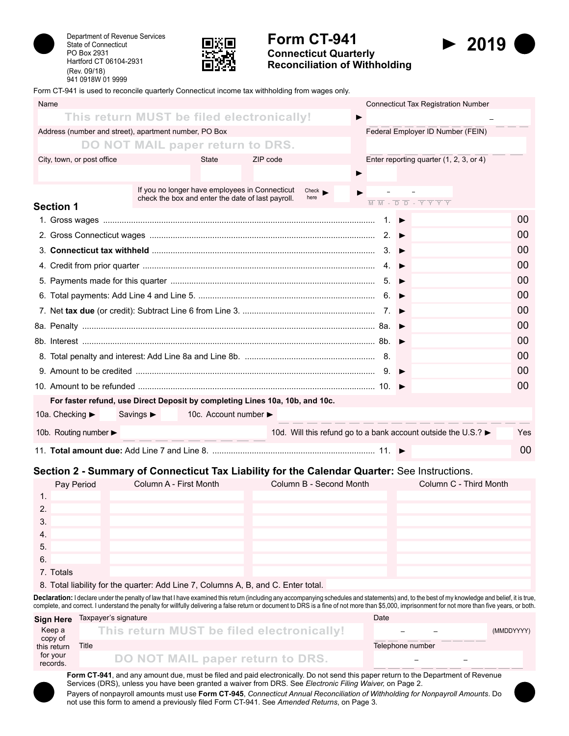



# **Form CT-941 Connecticut Quarterly**

**Reconciliation of Withholding**



Form CT-941 is used to reconcile quarterly Connecticut income tax withholding from wages only.

| Name                                      |                                                                                                                                                                                                                                            |                                                                                    |                                   | <b>Connecticut Tax Registration Number</b>                                                                                  |            |  |
|-------------------------------------------|--------------------------------------------------------------------------------------------------------------------------------------------------------------------------------------------------------------------------------------------|------------------------------------------------------------------------------------|-----------------------------------|-----------------------------------------------------------------------------------------------------------------------------|------------|--|
|                                           | This return MUST be filed electronically!                                                                                                                                                                                                  |                                                                                    |                                   |                                                                                                                             |            |  |
|                                           | Address (number and street), apartment number, PO Box                                                                                                                                                                                      |                                                                                    | Federal Employer ID Number (FEIN) |                                                                                                                             |            |  |
|                                           | DO NOT MAIL paper return to DRS.                                                                                                                                                                                                           |                                                                                    |                                   |                                                                                                                             |            |  |
| City, town, or post office                | <b>State</b>                                                                                                                                                                                                                               | ZIP code                                                                           |                                   | Enter reporting quarter (1, 2, 3, or 4)                                                                                     |            |  |
|                                           |                                                                                                                                                                                                                                            | $\blacktriangleright$                                                              |                                   |                                                                                                                             |            |  |
|                                           | If you no longer have employees in Connecticut<br>check the box and enter the date of last payroll.                                                                                                                                        | Check<br>here                                                                      |                                   |                                                                                                                             |            |  |
| <b>Section 1</b>                          |                                                                                                                                                                                                                                            |                                                                                    |                                   | $\overline{M}$ $\overline{M}$ - $\overline{D}$ $\overline{D}$ - $\overline{Y}$ $\overline{Y}$ $\overline{Y}$ $\overline{Y}$ |            |  |
|                                           |                                                                                                                                                                                                                                            |                                                                                    |                                   |                                                                                                                             | 00         |  |
|                                           |                                                                                                                                                                                                                                            |                                                                                    |                                   |                                                                                                                             | 00         |  |
|                                           | 3. Connecticut tax withheld $\ldots$ $\ldots$ $\ldots$ $\ldots$ $\ldots$ $\ldots$ $\ldots$ $\ldots$ $\ldots$ $\ldots$ $\ldots$ $\ldots$ $\ldots$ $\ldots$ $\ldots$ $\ldots$ $\ldots$ $\ldots$ $\ldots$ $\ldots$ $\ldots$ $\ldots$ $\ldots$ |                                                                                    |                                   |                                                                                                                             | 00         |  |
|                                           |                                                                                                                                                                                                                                            |                                                                                    |                                   |                                                                                                                             | 00         |  |
|                                           |                                                                                                                                                                                                                                            |                                                                                    |                                   |                                                                                                                             | 00         |  |
|                                           |                                                                                                                                                                                                                                            |                                                                                    |                                   |                                                                                                                             | 00         |  |
|                                           |                                                                                                                                                                                                                                            |                                                                                    |                                   | 00                                                                                                                          |            |  |
|                                           |                                                                                                                                                                                                                                            |                                                                                    |                                   |                                                                                                                             | 00         |  |
|                                           |                                                                                                                                                                                                                                            |                                                                                    |                                   |                                                                                                                             | 00         |  |
|                                           |                                                                                                                                                                                                                                            |                                                                                    |                                   |                                                                                                                             | 00         |  |
|                                           |                                                                                                                                                                                                                                            |                                                                                    |                                   |                                                                                                                             | 00         |  |
|                                           |                                                                                                                                                                                                                                            |                                                                                    |                                   |                                                                                                                             | 00         |  |
|                                           | For faster refund, use Direct Deposit by completing Lines 10a, 10b, and 10c.                                                                                                                                                               |                                                                                    |                                   |                                                                                                                             |            |  |
| 10a. Checking ►                           | 10c. Account number ►<br>Savings $\blacktriangleright$                                                                                                                                                                                     |                                                                                    |                                   |                                                                                                                             |            |  |
| 10b. Routing number $\blacktriangleright$ |                                                                                                                                                                                                                                            | 10d. Will this refund go to a bank account outside the U.S.? $\blacktriangleright$ |                                   |                                                                                                                             | <b>Yes</b> |  |
|                                           |                                                                                                                                                                                                                                            |                                                                                    |                                   |                                                                                                                             | 00         |  |

### **Section 2 - Summary of Connecticut Tax Liability for the Calendar Quarter:** See Instructions.

|     | Pay Period | Column A - First Month | Column B - Second Month | Column C - Third Month |
|-----|------------|------------------------|-------------------------|------------------------|
|     |            |                        |                         |                        |
| 2   |            |                        |                         |                        |
| -3. |            |                        |                         |                        |
| -4. |            |                        |                         |                        |
| -5. |            |                        |                         |                        |
| 6.  |            |                        |                         |                        |
|     | 7. Totals  |                        |                         |                        |

8. Total liability for the quarter: Add Line 7, Columns A, B, and C. Enter total.

Declaration: I declare under the penalty of law that I have examined this return (including any accompanying schedules and statements) and, to the best of my knowledge and belief, it is true, complete, and correct. I understand the penalty for willfully delivering a false return or document to DRS is a fine of not more than \$5,000, imprisonment for not more than five years, or both.

|                        | Sign Here Taxpayer's signature            | Date                                                 |            |  |
|------------------------|-------------------------------------------|------------------------------------------------------|------------|--|
| Keep a                 | This return MUST be filed electronically! | $\overline{\phantom{m}}$<br>$\overline{\phantom{m}}$ | (MMDDYYYY) |  |
| copy of<br>this return | Title                                     | Telephone number                                     |            |  |
| for your<br>records.   | DO NOT MAIL paper return to DRS.          | $\overline{\phantom{a}}$                             |            |  |

**Form CT-941**, and any amount due, must be filed and paid electronically. Do not send this paper return to the Department of Revenue Services (DRS), unless you have been granted a waiver from DRS. See *Electronic Filing Waiver,* on Page 2. Payers of nonpayroll amounts must use **Form CT-945**, *Connecticut Annual Reconciliation of Withholding for Nonpayroll Amounts*. Do not use this form to amend a previously filed Form CT-941. See *Amended Returns*, on Page 3.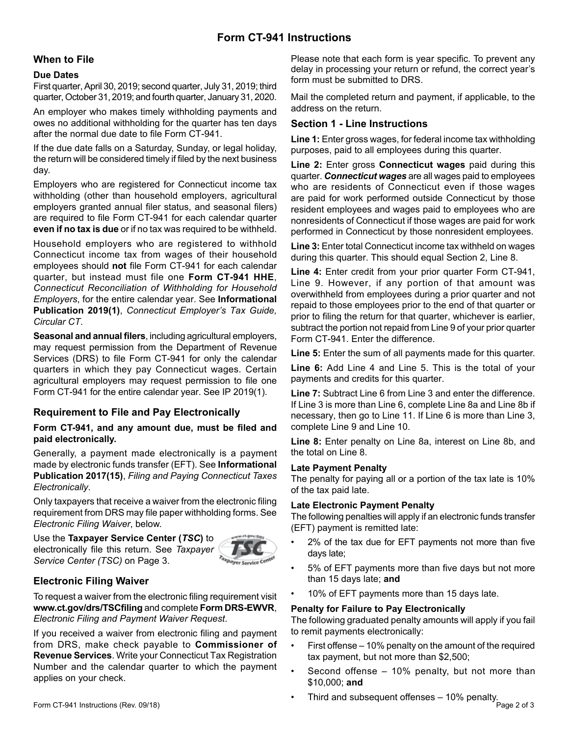# **Form CT-941 Instructions**

### **When to File**

#### **Due Dates**

First quarter, April 30, 2019; second quarter, July 31, 2019; third quarter, October 31, 2019; and fourth quarter, January 31, 2020.

An employer who makes timely withholding payments and owes no additional withholding for the quarter has ten days after the normal due date to file Form CT-941.

If the due date falls on a Saturday, Sunday, or legal holiday, the return will be considered timely if filed by the next business day.

Employers who are registered for Connecticut income tax withholding (other than household employers, agricultural employers granted annual filer status, and seasonal filers) are required to file Form CT-941 for each calendar quarter **even if no tax is due** or if no tax was required to be withheld.

Household employers who are registered to withhold Connecticut income tax from wages of their household employees should **not** file Form CT-941 for each calendar quarter, but instead must file one **Form CT-941 HHE**, *Connecticut Reconciliation of Withholding for Household Employers*, for the entire calendar year. See **Informational Publication 2019(1)**, *Connecticut Employer's Tax Guide, Circular CT*.

**Seasonal and annual filers**, including agricultural employers, may request permission from the Department of Revenue Services (DRS) to file Form CT-941 for only the calendar quarters in which they pay Connecticut wages. Certain agricultural employers may request permission to file one Form CT-941 for the entire calendar year. See IP 2019(1).

## **Requirement to File and Pay Electronically**

#### **Form CT-941, and any amount due, must be filed and paid electronically.**

Generally, a payment made electronically is a payment made by electronic funds transfer (EFT). See **Informational Publication 2017(15)**, *Filing and Paying Connecticut Taxes Electronically*.

Only taxpayers that receive a waiver from the electronic filing requirement from DRS may file paper withholding forms. See *Electronic Filing Waiver*, below.

Use the **Taxpayer Service Center (***TSC***)** to electronically file this return. See *Taxpayer Service Center (TSC)* on Page 3.



## **Electronic Filing Waiver**

To request a waiver from the electronic filing requirement visit **www.ct.gov/drs/TSCfiling** and complete **Form DRS-EWVR**, *Electronic Filing and Payment Waiver Request*.

If you received a waiver from electronic filing and payment from DRS, make check payable to **Commissioner of Revenue Services**. Write your Connecticut Tax Registration Number and the calendar quarter to which the payment applies on your check.

Please note that each form is year specific. To prevent any delay in processing your return or refund, the correct year's form must be submitted to DRS.

Mail the completed return and payment, if applicable, to the address on the return.

## **Section 1 - Line Instructions**

**Line 1:** Enter gross wages, for federal income tax withholding purposes, paid to all employees during this quarter.

**Line 2:** Enter gross **Connecticut wages** paid during this quarter. *Connecticut wages* are all wages paid to employees who are residents of Connecticut even if those wages are paid for work performed outside Connecticut by those resident employees and wages paid to employees who are nonresidents of Connecticut if those wages are paid for work performed in Connecticut by those nonresident employees.

**Line 3:** Enter total Connecticut income tax withheld on wages during this quarter. This should equal Section 2, Line 8.

**Line 4:** Enter credit from your prior quarter Form CT-941, Line 9. However, if any portion of that amount was overwithheld from employees during a prior quarter and not repaid to those employees prior to the end of that quarter or prior to filing the return for that quarter, whichever is earlier, subtract the portion not repaid from Line 9 of your prior quarter Form CT-941. Enter the difference.

**Line 5:** Enter the sum of all payments made for this quarter.

**Line 6:** Add Line 4 and Line 5. This is the total of your payments and credits for this quarter.

**Line 7:** Subtract Line 6 from Line 3 and enter the difference. If Line 3 is more than Line 6, complete Line 8a and Line 8b if necessary, then go to Line 11. If Line 6 is more than Line 3, complete Line 9 and Line 10.

**Line 8:** Enter penalty on Line 8a, interest on Line 8b, and the total on Line 8.

#### **Late Payment Penalty**

The penalty for paying all or a portion of the tax late is 10% of the tax paid late.

#### **Late Electronic Payment Penalty**

The following penalties will apply if an electronic funds transfer (EFT) payment is remitted late:

- 2% of the tax due for EFT payments not more than five days late;
- 5% of EFT payments more than five days but not more than 15 days late; **and**
- 10% of EFT payments more than 15 days late.

### **Penalty for Failure to Pay Electronically**

The following graduated penalty amounts will apply if you fail to remit payments electronically:

- First offense 10% penalty on the amount of the required tax payment, but not more than \$2,500;
- Second offense  $-10\%$  penalty, but not more than \$10,000; **and**
- Third and subsequent offenses 10% penalty. Form CT-941 Instructions (Rev. 09/18) Page 2 of 3